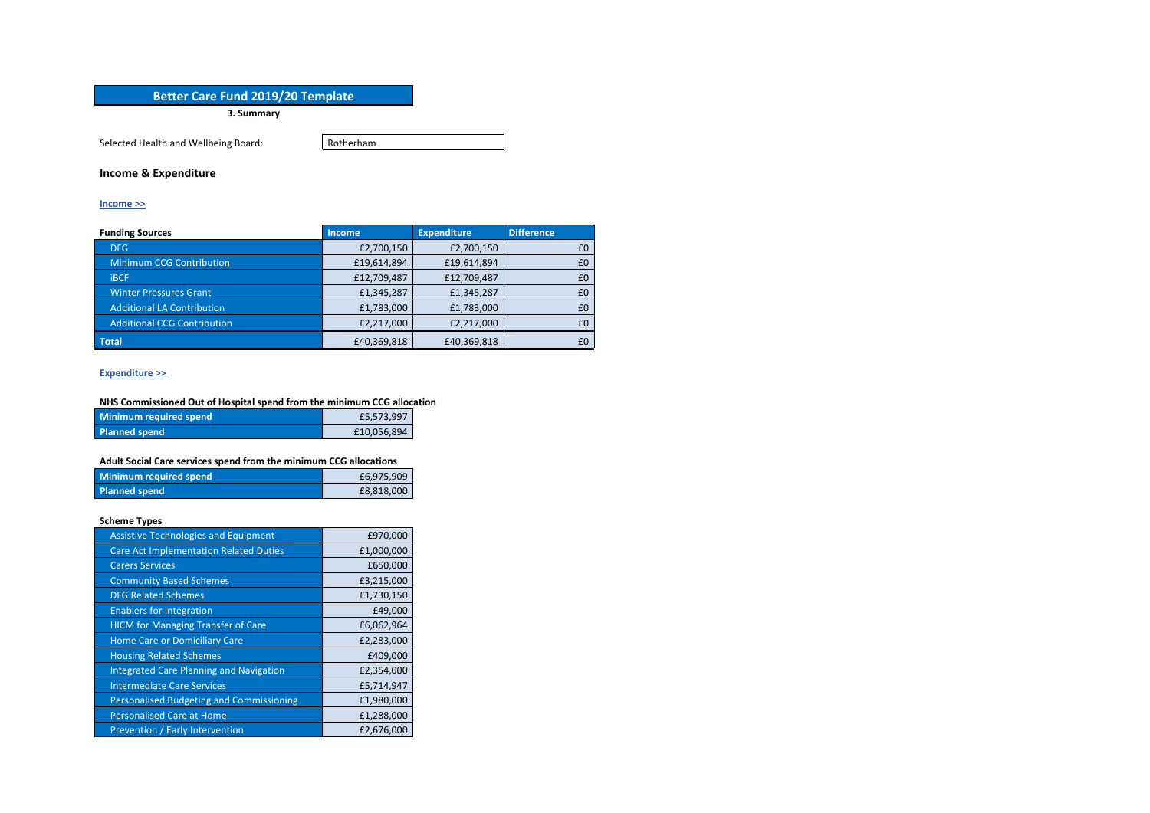# **Better Care Fund 2019/20 Template**

**3. Summary**

Selected Health and Wellbeing Board: Rotherham

## **Income & Expenditure**

#### **[Income](file:///C:/Users/dawn.mitchell/AppData/Local/Microsoft/Windows/INetCache/Content.MSO/3259D8AA.xlsx%23) >>**

| <b>Funding Sources</b>             | <b>Income</b> | <b>Expenditure</b> | <b>Difference</b> |
|------------------------------------|---------------|--------------------|-------------------|
| DFG                                | £2,700,150    | £2,700,150         | £0                |
| <b>Minimum CCG Contribution</b>    | £19,614,894   | £19,614,894        | £0                |
| <b>IBCF</b>                        | £12,709,487   | £12,709,487        | £0                |
| <b>Winter Pressures Grant</b>      | £1,345,287    | £1,345,287         | £0                |
| <b>Additional LA Contribution</b>  | £1,783,000    | £1,783,000         | £0                |
| <b>Additional CCG Contribution</b> | £2,217,000    | £2,217,000         | £0                |
| Total                              | £40,369,818   | £40,369,818        | £0                |

### **[Expenditure](file:///C:/Users/dawn.mitchell/AppData/Local/Microsoft/Windows/INetCache/Content.MSO/3259D8AA.xlsx%23) >>**

## **NHS Commissioned Out of Hospital spend from the minimum CCG allocation**

| Minimum required spend | £5,573,997  |  |
|------------------------|-------------|--|
| <b>Planned spend</b>   | £10,056,894 |  |

### **Adult Social Care services spend from the minimum CCG allocations**

| Minimum required spend | £6,975,909 |
|------------------------|------------|
| <b>Planned spend</b>   | £8,818,000 |

#### **Scheme Types**

| <b>Assistive Technologies and Equipment</b>    | £970,000   |
|------------------------------------------------|------------|
| <b>Care Act Implementation Related Duties</b>  | £1,000,000 |
| <b>Carers Services</b>                         | £650,000   |
| <b>Community Based Schemes</b>                 | £3,215,000 |
| <b>DFG Related Schemes</b>                     | £1,730,150 |
| <b>Enablers for Integration</b>                | £49,000    |
| <b>HICM</b> for Managing Transfer of Care      | £6,062,964 |
| <b>Home Care or Domiciliary Care</b>           | £2,283,000 |
| <b>Housing Related Schemes</b>                 | £409,000   |
| <b>Integrated Care Planning and Navigation</b> | £2,354,000 |
| <b>Intermediate Care Services</b>              | £5,714,947 |
| Personalised Budgeting and Commissioning       | £1,980,000 |
| <b>Personalised Care at Home</b>               | £1,288,000 |
| Prevention / Early Intervention                | £2,676,000 |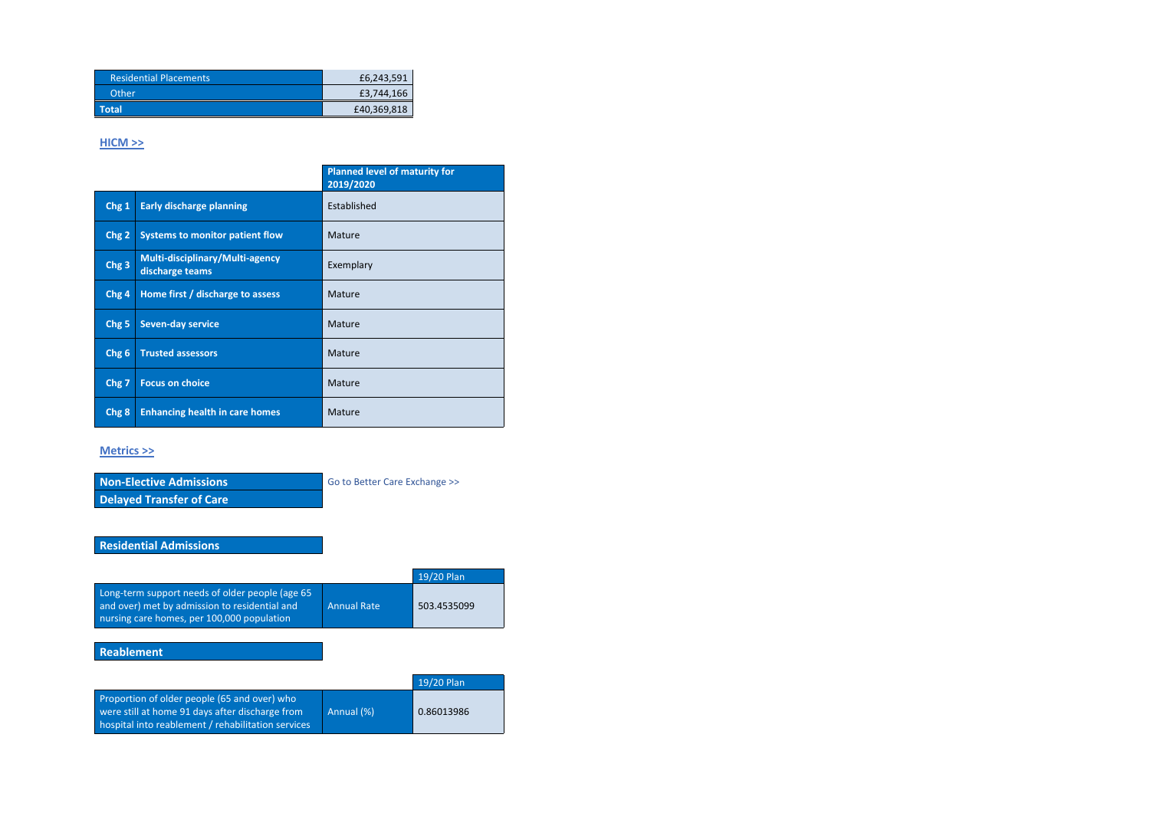| <b>Residential Placements</b> | £6,243,591  |
|-------------------------------|-------------|
| Other                         | £3,744,166  |
| <b>\Total</b>                 | £40,369,818 |

## **[HICM](file:///C:/Users/dawn.mitchell/AppData/Local/Microsoft/Windows/INetCache/Content.MSO/3259D8AA.xlsx%23) >>**

|                  |                                                    | <b>Planned level of maturity for</b><br>2019/2020 |
|------------------|----------------------------------------------------|---------------------------------------------------|
| Chg 1            | <b>Early discharge planning</b>                    | Established                                       |
| Chg <sub>2</sub> | <b>Systems to monitor patient flow</b>             | Mature                                            |
| Chg <sub>3</sub> | Multi-disciplinary/Multi-agency<br>discharge teams | Exemplary                                         |
| Chg <sub>4</sub> | Home first / discharge to assess                   | Mature                                            |
| Chg <sub>5</sub> | <b>Seven-day service</b>                           | Mature                                            |
| Chg <sub>6</sub> | <b>Trusted assessors</b>                           | Mature                                            |
| Chg <sub>7</sub> | <b>Focus on choice</b>                             | Mature                                            |
| Chg <sub>8</sub> | <b>Enhancing health in care homes</b>              | Mature                                            |

**Non-Elective Admissions** Go to Better Care [Exchange](https://future.nhs.uk/connect.ti/bettercareexchange/view?objectId=51593157) >> **Delayed Transfer of Care**

## **[Metrics](file:///C:/Users/dawn.mitchell/AppData/Local/Microsoft/Windows/INetCache/Content.MSO/3259D8AA.xlsx%23) >>**

# **Residential Admissions**

|                                                                                                                                                       |                    | 19/20 Plan  |
|-------------------------------------------------------------------------------------------------------------------------------------------------------|--------------------|-------------|
| Long-term support needs of older people (age 65<br>and over) met by admission to residential and<br>nursing care homes, per 100,000 population        | <b>Annual Rate</b> | 503.4535099 |
|                                                                                                                                                       |                    |             |
| <b>Reablement</b>                                                                                                                                     |                    |             |
|                                                                                                                                                       |                    |             |
|                                                                                                                                                       |                    | 19/20 Plan  |
| Proportion of older people (65 and over) who<br>were still at home 91 days after discharge from<br>hospital into reablement / rehabilitation services | Annual (%)         | 0.86013986  |